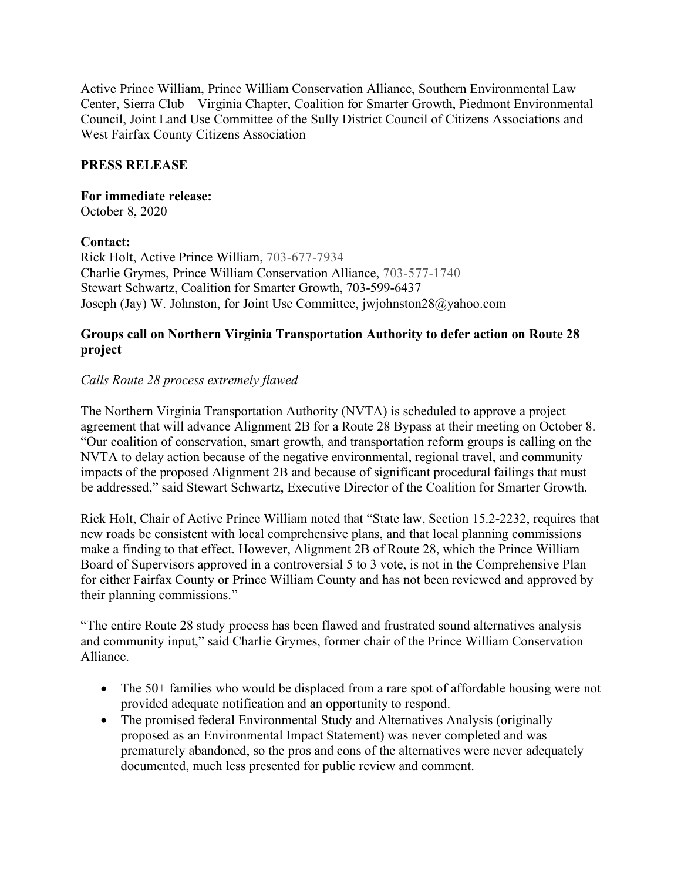Active Prince William, Prince William Conservation Alliance, Southern Environmental Law Center, Sierra Club – Virginia Chapter, Coalition for Smarter Growth, Piedmont Environmental Council, Joint Land Use Committee of the Sully District Council of Citizens Associations and West Fairfax County Citizens Association

## **PRESS RELEASE**

#### **For immediate release:** October 8, 2020

### **Contact:**

Rick Holt, Active Prince William, 703-677-7934 Charlie Grymes, Prince William Conservation Alliance, 703-577-1740 Stewart Schwartz, Coalition for Smarter Growth, 703-599-6437 Joseph (Jay) W. Johnston, for Joint Use Committee, jwjohnston28@yahoo.com

### **Groups call on Northern Virginia Transportation Authority to defer action on Route 28 project**

# *Calls Route 28 process extremely flawed*

The Northern Virginia Transportation Authority (NVTA) is scheduled to approve a project agreement that will advance Alignment 2B for a Route 28 Bypass at their meeting on October 8. "Our coalition of conservation, smart growth, and transportation reform groups is calling on the NVTA to delay action because of the negative environmental, regional travel, and community impacts of the proposed Alignment 2B and because of significant procedural failings that must be addressed," said Stewart Schwartz, Executive Director of the Coalition for Smarter Growth.

Rick Holt, Chair of Active Prince William noted that "State law, Section 15.2-2232, requires that new roads be consistent with local comprehensive plans, and that local planning commissions make a finding to that effect. However, Alignment 2B of Route 28, which the Prince William Board of Supervisors approved in a controversial 5 to 3 vote, is not in the Comprehensive Plan for either Fairfax County or Prince William County and has not been reviewed and approved by their planning commissions."

"The entire Route 28 study process has been flawed and frustrated sound alternatives analysis and community input," said Charlie Grymes, former chair of the Prince William Conservation Alliance.

- The 50+ families who would be displaced from a rare spot of affordable housing were not provided adequate notification and an opportunity to respond.
- The promised federal Environmental Study and Alternatives Analysis (originally proposed as an Environmental Impact Statement) was never completed and was prematurely abandoned, so the pros and cons of the alternatives were never adequately documented, much less presented for public review and comment.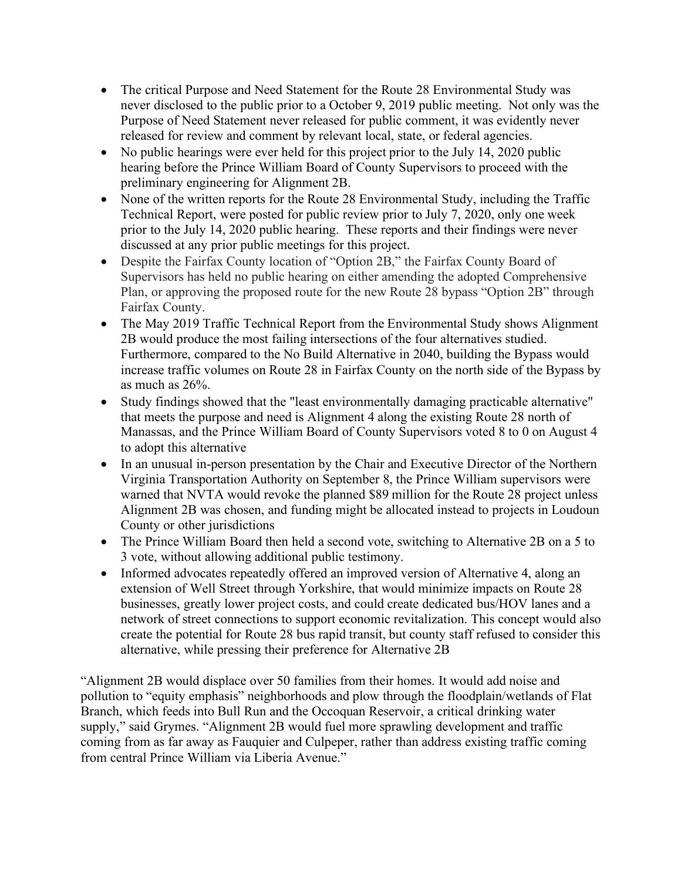- The critical Purpose and Need Statement for the Route 28 Environmental Study was never disclosed to the public prior to a October 9, 2019 public meeting. Not only was the Purpose of Need Statement never released for public comment, it was evidently never released for review and comment by relevant local, state, or federal agencies.
- No public hearings were ever held for this project prior to the July 14, 2020 public hearing before the Prince William Board of County Supervisors to proceed with the preliminary engineering for Alignment 2B.
- None of the written reports for the Route 28 Environmental Study, including the Traffic Technical Report, were posted for public review prior to July 7, 2020, only one week prior to the July 14, 2020 public hearing. These reports and their findings were never discussed at any prior public meetings for this project.
- Despite the Fairfax County location of "Option 2B," the Fairfax County Board of Supervisors has held no public hearing on either amending the adopted Comprehensive Plan, or approving the proposed route for the new Route 28 bypass "Option 2B" through Fairfax County.
- The May 2019 Traffic Technical Report from the Environmental Study shows Alignment 2B would produce the most failing intersections of the four alternatives studied. Furthermore, compared to the No Build Alternative in 2040, building the Bypass would increase traffic volumes on Route 28 in Fairfax County on the north side of the Bypass by as much as 26%.
- Study findings showed that the "least environmentally damaging practicable alternative" that meets the purpose and need is Alignment 4 along the existing Route 28 north of Manassas, and the Prince William Board of County Supervisors voted 8 to 0 on August 4 to adopt this alternative
- In an unusual in-person presentation by the Chair and Executive Director of the Northern Virginia Transportation Authority on September 8, the Prince William supervisors were warned that NVTA would revoke the planned \$89 million for the Route 28 project unless Alignment 2B was chosen, and funding might be allocated instead to projects in Loudoun County or other jurisdictions
- The Prince William Board then held a second vote, switching to Alternative 2B on a 5 to 3 vote, without allowing additional public testimony.
- Informed advocates repeatedly offered an improved version of Alternative 4, along an extension of Well Street through Yorkshire, that would minimize impacts on Route 28 businesses, greatly lower project costs, and could create dedicated bus/HOV lanes and a network of street connections to support economic revitalization. This concept would also create the potential for Route 28 bus rapid transit, but county staff refused to consider this alternative, while pressing their preference for Alternative 2B

"Alignment 2B would displace over 50 families from their homes. It would add noise and pollution to "equity emphasis" neighborhoods and plow through the floodplain/wetlands of Flat Branch, which feeds into Bull Run and the Occoquan Reservoir, a critical drinking water supply," said Grymes. "Alignment 2B would fuel more sprawling development and traffic coming from as far away as Fauquier and Culpeper, rather than address existing traffic coming from central Prince William via Liberia Avenue."